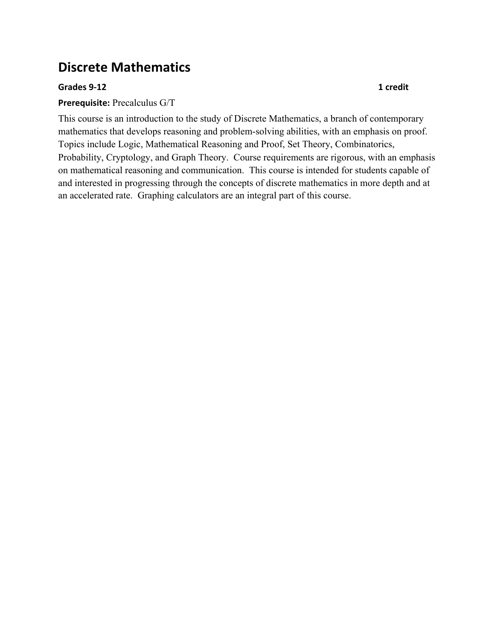# **Discrete Mathematics**

#### **Grades(9012 1(credit**

#### **Prerequisite:** Precalculus G/T

This course is an introduction to the study of Discrete Mathematics, a branch of contemporary mathematics that develops reasoning and problem-solving abilities, with an emphasis on proof. Topics include Logic, Mathematical Reasoning and Proof, Set Theory, Combinatorics, Probability, Cryptology, and Graph Theory. Course requirements are rigorous, with an emphasis on mathematical reasoning and communication. This course is intended for students capable of and interested in progressing through the concepts of discrete mathematics in more depth and at an accelerated rate. Graphing calculators are an integral part of this course.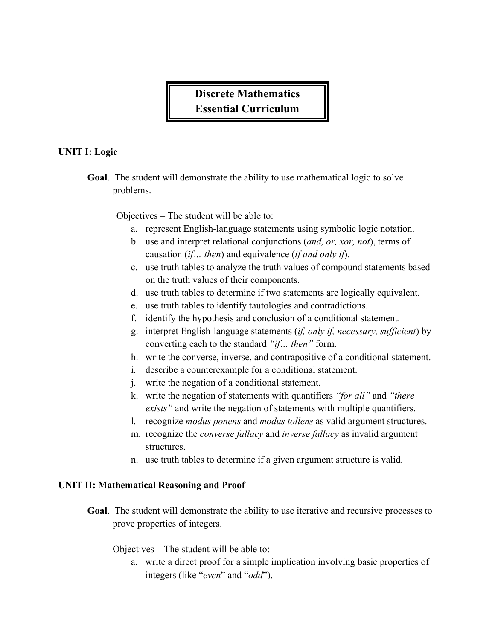## **Discrete Mathematics Essential Curriculum**

### **UNIT I: Logic**

**Goal**. The student will demonstrate the ability to use mathematical logic to solve problems.

Objectives – The student will be able to:

- a. represent English-language statements using symbolic logic notation.
- b. use and interpret relational conjunctions (*and, or, xor, not*), terms of causation (*if… then*) and equivalence (*if and only if*).
- c. use truth tables to analyze the truth values of compound statements based on the truth values of their components.
- d. use truth tables to determine if two statements are logically equivalent.
- e. use truth tables to identify tautologies and contradictions.
- f. identify the hypothesis and conclusion of a conditional statement.
- g. interpret English-language statements (*if, only if, necessary, sufficient*) by converting each to the standard *"if… then"* form.
- h. write the converse, inverse, and contrapositive of a conditional statement.
- i. describe a counterexample for a conditional statement.
- j. write the negation of a conditional statement.
- k. write the negation of statements with quantifiers *"for all"* and *"there exists"* and write the negation of statements with multiple quantifiers.
- l. recognize *modus ponens* and *modus tollens* as valid argument structures.
- m. recognize the *converse fallacy* and *inverse fallacy* as invalid argument structures.
- n. use truth tables to determine if a given argument structure is valid.

#### **UNIT II: Mathematical Reasoning and Proof**

**Goal**. The student will demonstrate the ability to use iterative and recursive processes to prove properties of integers.

Objectives – The student will be able to:

a. write a direct proof for a simple implication involving basic properties of integers (like "*even*" and "*odd*").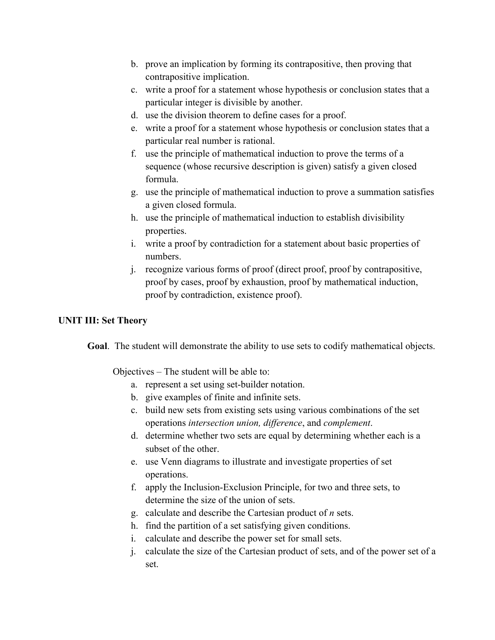- b. prove an implication by forming its contrapositive, then proving that contrapositive implication.
- c. write a proof for a statement whose hypothesis or conclusion states that a particular integer is divisible by another.
- d. use the division theorem to define cases for a proof.
- e. write a proof for a statement whose hypothesis or conclusion states that a particular real number is rational.
- f. use the principle of mathematical induction to prove the terms of a sequence (whose recursive description is given) satisfy a given closed formula.
- g. use the principle of mathematical induction to prove a summation satisfies a given closed formula.
- h. use the principle of mathematical induction to establish divisibility properties.
- i. write a proof by contradiction for a statement about basic properties of numbers.
- j. recognize various forms of proof (direct proof, proof by contrapositive, proof by cases, proof by exhaustion, proof by mathematical induction, proof by contradiction, existence proof).

### **UNIT III: Set Theory**

**Goal**. The student will demonstrate the ability to use sets to codify mathematical objects.

Objectives – The student will be able to:

- a. represent a set using set-builder notation.
- b. give examples of finite and infinite sets.
- c. build new sets from existing sets using various combinations of the set operations *intersection union, difference*, and *complement*.
- d. determine whether two sets are equal by determining whether each is a subset of the other.
- e. use Venn diagrams to illustrate and investigate properties of set operations.
- f. apply the Inclusion-Exclusion Principle, for two and three sets, to determine the size of the union of sets.
- g. calculate and describe the Cartesian product of *n* sets.
- h. find the partition of a set satisfying given conditions.
- i. calculate and describe the power set for small sets.
- j. calculate the size of the Cartesian product of sets, and of the power set of a set.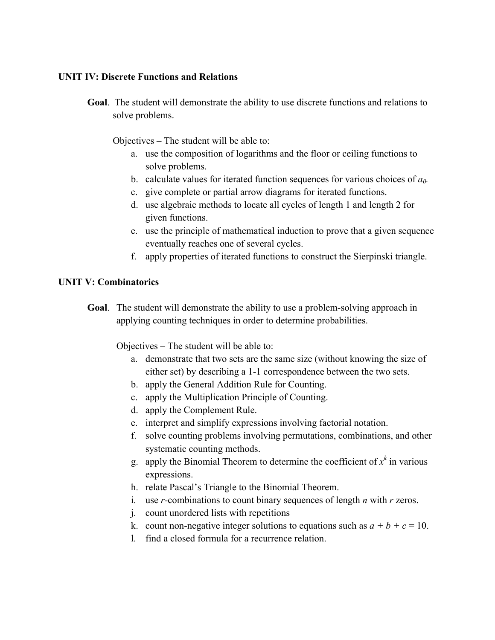#### **UNIT IV: Discrete Functions and Relations**

**Goal**. The student will demonstrate the ability to use discrete functions and relations to solve problems.

Objectives – The student will be able to:

- a. use the composition of logarithms and the floor or ceiling functions to solve problems.
- b. calculate values for iterated function sequences for various choices of *a0.*
- c. give complete or partial arrow diagrams for iterated functions.
- d. use algebraic methods to locate all cycles of length 1 and length 2 for given functions.
- e. use the principle of mathematical induction to prove that a given sequence eventually reaches one of several cycles.
- f. apply properties of iterated functions to construct the Sierpinski triangle.

### **UNIT V: Combinatorics**

**Goal**. The student will demonstrate the ability to use a problem-solving approach in applying counting techniques in order to determine probabilities.

Objectives – The student will be able to:

- a. demonstrate that two sets are the same size (without knowing the size of either set) by describing a 1-1 correspondence between the two sets.
- b. apply the General Addition Rule for Counting.
- c. apply the Multiplication Principle of Counting.
- d. apply the Complement Rule.
- e. interpret and simplify expressions involving factorial notation.
- f. solve counting problems involving permutations, combinations, and other systematic counting methods.
- g. apply the Binomial Theorem to determine the coefficient of  $x^k$  in various expressions.
- h. relate Pascal's Triangle to the Binomial Theorem.
- i. use *r-*combinations to count binary sequences of length *n* with *r* zeros.
- j. count unordered lists with repetitions
- k. count non-negative integer solutions to equations such as  $a + b + c = 10$ .
- l. find a closed formula for a recurrence relation.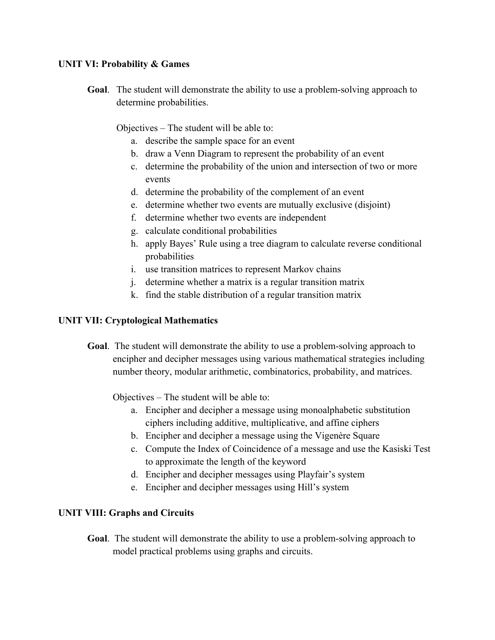#### **UNIT VI: Probability & Games**

**Goal**. The student will demonstrate the ability to use a problem-solving approach to determine probabilities.

Objectives – The student will be able to:

- a. describe the sample space for an event
- b. draw a Venn Diagram to represent the probability of an event
- c. determine the probability of the union and intersection of two or more events
- d. determine the probability of the complement of an event
- e. determine whether two events are mutually exclusive (disjoint)
- f. determine whether two events are independent
- g. calculate conditional probabilities
- h. apply Bayes' Rule using a tree diagram to calculate reverse conditional probabilities
- i. use transition matrices to represent Markov chains
- j. determine whether a matrix is a regular transition matrix
- k. find the stable distribution of a regular transition matrix

#### **UNIT VII: Cryptological Mathematics**

**Goal**. The student will demonstrate the ability to use a problem-solving approach to encipher and decipher messages using various mathematical strategies including number theory, modular arithmetic, combinatorics, probability, and matrices.

Objectives – The student will be able to:

- a. Encipher and decipher a message using monoalphabetic substitution ciphers including additive, multiplicative, and affine ciphers
- b. Encipher and decipher a message using the Vigenère Square
- c. Compute the Index of Coincidence of a message and use the Kasiski Test to approximate the length of the keyword
- d. Encipher and decipher messages using Playfair's system
- e. Encipher and decipher messages using Hill's system

### **UNIT VIII: Graphs and Circuits**

**Goal**. The student will demonstrate the ability to use a problem-solving approach to model practical problems using graphs and circuits.